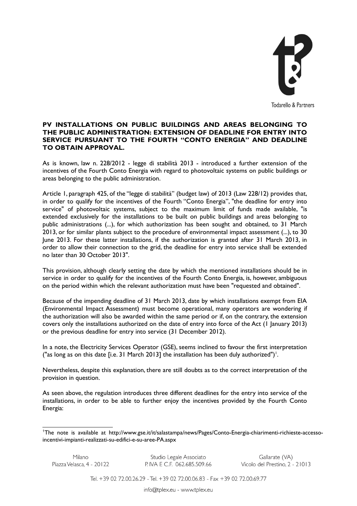

## **PV INSTALLATIONS ON PUBLIC BUILDINGS AND AREAS BELONGING TO THE PUBLIC ADMINISTRATION: EXTENSION OF DEADLINE FOR ENTRY INTO SERVICE PURSUANT TO THE FOURTH "CONTO ENERGIA" AND DEADLINE TO OBTAIN APPROVAL.**

As is known, law n. 228/2012 - legge di stabilità 2013 - introduced a further extension of the incentives of the Fourth Conto Energia with regard to photovoltaic systems on public buildings or areas belonging to the public administration.

Article 1, paragraph 425, of the "legge di stabilità" (budget law) of 2013 (Law 228/12) provides that, in order to qualify for the incentives of the Fourth "Conto Energia", "the deadline for entry into service" of photovoltaic systems, subject to the maximum limit of funds made available, "is extended exclusively for the installations to be built on public buildings and areas belonging to public administrations (...), for which authorization has been sought and obtained, to 31 March 2013, or for similar plants subject to the procedure of environmental impact assessment (...), to 30 June 2013. For these latter installations, if the authorization is granted after 31 March 2013, in order to allow their connection to the grid, the deadline for entry into service shall be extended no later than 30 October 2013".

This provision, although clearly setting the date by which the mentioned installations should be in service in order to qualify for the incentives of the Fourth Conto Energia, is, however, ambiguous on the period within which the relevant authorization must have been "requested and obtained".

Because of the impending deadline of 31 March 2013, date by which installations exempt from EIA (Environmental Impact Assessment) must become operational, many operators are wondering if the authorization will also be awarded within the same period or if, on the contrary, the extension covers only the installations authorized on the date of entry into force of the Act (1 January 2013) or the previous deadline for entry into service (31 December 2012).

In a note, the Electricity Services Operator (GSE), seems inclined to favour the first interpretation ("as long as on this date [i.e. 3[1](#page-0-0) March 2013] the installation has been duly authorized")<sup>1</sup>.

Nevertheless, despite this explanation, there are still doubts as to the correct interpretation of the provision in question.

As seen above, the regulation introduces three different deadlines for the entry into service of the installations, in order to be able to further enjoy the incentives provided by the Fourth Conto Energia:

Studio Legale Associato P. IVA E C.F. 062.685.509.66 Gallarate (VA)<br>Vicolo del Prestino, 2 - 21013

Tel. +39 02 72.00.26.29 - Tel. +39 02 72.00.06.83 - Fax +39 02 72.00.69.77

<span id="page-0-0"></span><sup>1</sup>The note is available at http://www.gse.it/it/salastampa/news/Pages/Conto-Energia-chiarimenti-richieste-accessoincentivi-impianti-realizzati-su-edifici-e-su-aree-PA.aspx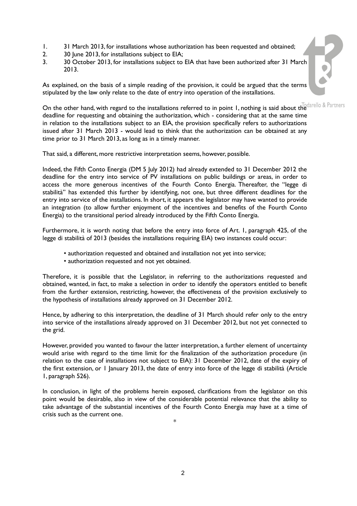- 1. 31 March 2013, for installations whose authorization has been requested and obtained;
- 2. 30 June 2013, for installations subject to EIA;
- 3. 30 October 2013, for installations subject to EIA that have been authorized after 31 March 2013.

As explained, on the basis of a simple reading of the provision, it could be argued that the terms stipulated by the law only relate to the date of entry into operation of the installations.

On the other hand, with regard to the installations referred to in point 1, nothing is said about the  $T_{\text{o}}$  darello & Partners deadline for requesting and obtaining the authorization, which - considering that at the same time in relation to the installations subject to an EIA, the provision specifically refers to authorizations issued after 31 March 2013 - would lead to think that the authorization can be obtained at any time prior to 31 March 2013, as long as in a timely manner.

That said, a different, more restrictive interpretation seems, however, possible.

Indeed, the Fifth Conto Energia (DM 5 July 2012) had already extended to 31 December 2012 the deadline for the entry into service of PV installations on public buildings or areas, in order to access the more generous incentives of the Fourth Conto Energia. Thereafter, the "legge di stabilità" has extended this further by identifying, not one, but three different deadlines for the entry into service of the installations. In short, it appears the legislator may have wanted to provide an integration (to allow further enjoyment of the incentives and benefits of the Fourth Conto Energia) to the transitional period already introduced by the Fifth Conto Energia.

Furthermore, it is worth noting that before the entry into force of Art. 1, paragraph 425, of the legge di stabilità of 2013 (besides the installations requiring EIA) two instances could occur:

- authorization requested and obtained and installation not yet into service;
- authorization requested and not yet obtained.

Therefore, it is possible that the Legislator, in referring to the authorizations requested and obtained, wanted, in fact, to make a selection in order to identify the operators entitled to benefit from the further extension, restricting, however, the effectiveness of the provision exclusively to the hypothesis of installations already approved on 31 December 2012.

Hence, by adhering to this interpretation, the deadline of 31 March should refer only to the entry into service of the installations already approved on 31 December 2012, but not yet connected to the grid.

However, provided you wanted to favour the latter interpretation, a further element of uncertainty would arise with regard to the time limit for the finalization of the authorization procedure (in relation to the case of installations not subject to EIA): 31 December 2012, date of the expiry of the first extension, or 1 January 2013, the date of entry into force of the legge di stabilità (Article 1, paragraph 526).

In conclusion, in light of the problems herein exposed, clarifications from the legislator on this point would be desirable, also in view of the considerable potential relevance that the ability to take advantage of the substantial incentives of the Fourth Conto Energia may have at a time of crisis such as the current one.

\*